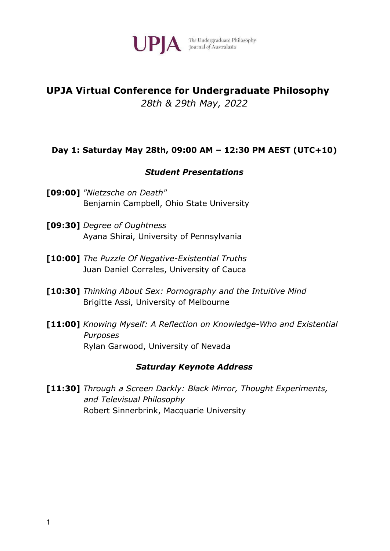

UPIA The Undergraduate Philosophy

# **UPJA Virtual Conference for Undergraduate Philosophy** *28th & 29th May, 2022*

# **Day 1: Saturday May 28th, 09:00 AM – 12:30 PM AEST (UTC+10)**

### *Student Presentations*

- **[09:00]** *"Nietzsche on Death"* Benjamin Campbell, Ohio State University
- **[09:30]** *Degree of Oughtness* Ayana Shirai, University of Pennsylvania
- **[10:00]** *The Puzzle Of Negative-Existential Truths* Juan Daniel Corrales, University of Cauca
- **[10:30]** *Thinking About Sex: Pornography and the Intuitive Mind* Brigitte Assi, University of Melbourne
- **[11:00]** *Knowing Myself: A Reflection on Knowledge-Who and Existential Purposes* Rylan Garwood, University of Nevada

#### *Saturday Keynote Address*

**[11:30]** *Through a Screen Darkly: Black Mirror, Thought Experiments, and Televisual Philosophy* Robert Sinnerbrink, Macquarie University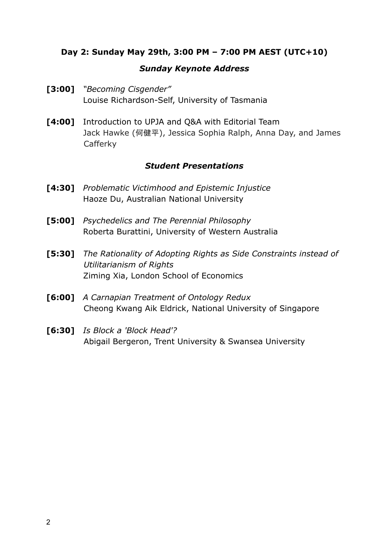# **Day 2: Sunday May 29th, 3:00 PM – 7:00 PM AEST (UTC+10)**

### *Sunday Keynote Address*

- **[3:00]** *"Becoming Cisgender"* Louise Richardson-Self, University of Tasmania
- **[4:00]** Introduction to UPJA and Q&A with Editorial Team Jack Hawke (何健平), Jessica Sophia Ralph, Anna Day, and James Cafferky

### *Student Presentations*

- **[4:30]** *Problematic Victimhood and Epistemic Injustice* Haoze Du, Australian National University
- **[5:00]** *Psychedelics and The Perennial Philosophy* Roberta Burattini, University of Western Australia
- **[5:30]** *The Rationality of Adopting Rights as Side Constraints instead of Utilitarianism of Rights* Ziming Xia, London School of Economics
- **[6:00]** *A Carnapian Treatment of Ontology Redux* Cheong Kwang Aik Eldrick, National University of Singapore
- **[6:30]** *Is Block a 'Block Head'?* Abigail Bergeron, Trent University & Swansea University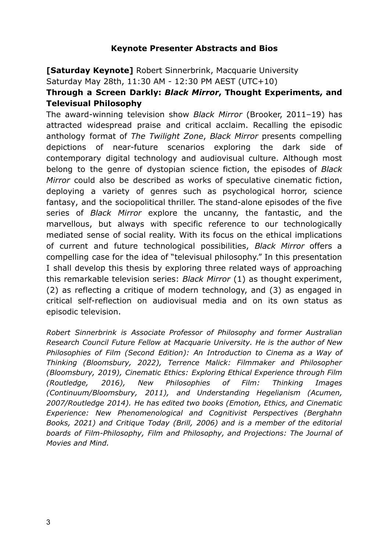# **Keynote Presenter Abstracts and Bios**

**[Saturday Keynote]** Robert Sinnerbrink, Macquarie University

Saturday May 28th, 11:30 AM - 12:30 PM AEST (UTC+10)

# **Through a Screen Darkly:** *Black Mirror***, Thought Experiments, and Televisual Philosophy**

The award-winning television show *Black Mirror* (Brooker, 2011–19) has attracted widespread praise and critical acclaim. Recalling the episodic anthology format of *The Twilight Zone*, *Black Mirror* presents compelling depictions of near-future scenarios exploring the dark side of contemporary digital technology and audiovisual culture. Although most belong to the genre of dystopian science fiction, the episodes of *Black Mirror* could also be described as works of speculative cinematic fiction, deploying a variety of genres such as psychological horror, science fantasy, and the sociopolitical thriller. The stand-alone episodes of the five series of *Black Mirror* explore the uncanny, the fantastic, and the marvellous, but always with specific reference to our technologically mediated sense of social reality. With its focus on the ethical implications of current and future technological possibilities, *Black Mirror* offers a compelling case for the idea of "televisual philosophy." In this presentation I shall develop this thesis by exploring three related ways of approaching this remarkable television series: *Black Mirror* (1) as thought experiment, (2) as reflecting a critique of modern technology, and (3) as engaged in critical self-reflection on audiovisual media and on its own status as episodic television.

*Robert Sinnerbrink is Associate Professor of Philosophy and former Australian Research Council Future Fellow at Macquarie University. He is the author of New Philosophies of Film (Second Edition): An Introduction to Cinema as a Way of Thinking (Bloomsbury, 2022), Terrence Malick: Filmmaker and Philosopher (Bloomsbury, 2019), Cinematic Ethics: Exploring Ethical Experience through Film (Routledge, 2016), New Philosophies of Film: Thinking Images (Continuum/Bloomsbury, 2011), and Understanding Hegelianism (Acumen, 2007/Routledge 2014). He has edited two books (Emotion, Ethics, and Cinematic Experience: New Phenomenological and Cognitivist Perspectives (Berghahn Books, 2021) and Critique Today (Brill, 2006) and is a member of the editorial boards of Film-Philosophy, Film and Philosophy, and Projections: The Journal of Movies and Mind.*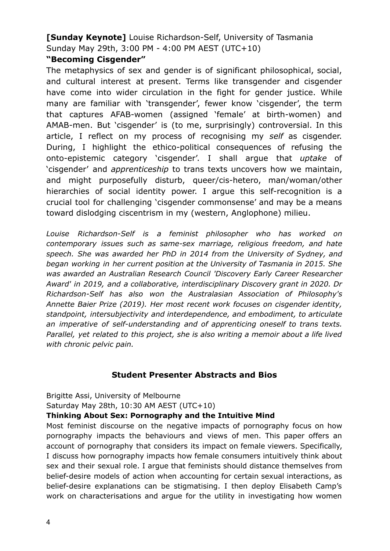**[Sunday Keynote]** Louise Richardson-Self, University of Tasmania Sunday May 29th, 3:00 PM - 4:00 PM AEST (UTC+10)

# **"Becoming Cisgender"**

The metaphysics of sex and gender is of significant philosophical, social, and cultural interest at present. Terms like transgender and cisgender have come into wider circulation in the fight for gender justice. While many are familiar with 'transgender', fewer know 'cisgender', the term that captures AFAB-women (assigned 'female' at birth-women) and AMAB-men. But 'cisgender' is (to me, surprisingly) controversial. In this article, I reflect on my process of recognising my *self* as cisgender. During, I highlight the ethico-political consequences of refusing the onto-epistemic category 'cisgender'. I shall argue that *uptake* of 'cisgender' and *apprenticeship* to trans texts uncovers how we maintain, and might purposefully disturb, queer/cis-hetero, man/woman/other hierarchies of social identity power. I argue this self-recognition is a crucial tool for challenging 'cisgender commonsense' and may be a means toward dislodging ciscentrism in my (western, Anglophone) milieu.

*Louise Richardson-Self is a feminist philosopher who has worked on contemporary issues such as same-sex marriage, religious freedom, and hate speech. She was awarded her PhD in 2014 from the University of Sydney, and began working in her current position at the University of Tasmania in 2015. She was awarded an Australian Research Council 'Discovery Early Career Researcher Award' in 2019, and a collaborative, interdisciplinary Discovery grant in 2020. Dr Richardson-Self has also won the Australasian Association of Philosophy's Annette Baier Prize (2019). Her most recent work focuses on cisgender identity, standpoint, intersubjectivity and interdependence, and embodiment, to articulate an imperative of self-understanding and of apprenticing oneself to trans texts. Parallel, yet related to this project, she is also writing a memoir about a life lived with chronic pelvic pain.*

# **Student Presenter Abstracts and Bios**

Brigitte Assi, University of Melbourne Saturday May 28th, 10:30 AM AEST (UTC+10)

### **Thinking About Sex: Pornography and the Intuitive Mind**

Most feminist discourse on the negative impacts of pornography focus on how pornography impacts the behaviours and views of men. This paper offers an account of pornography that considers its impact on female viewers. Specifically, I discuss how pornography impacts how female consumers intuitively think about sex and their sexual role. I argue that feminists should distance themselves from belief-desire models of action when accounting for certain sexual interactions, as belief-desire explanations can be stigmatising. I then deploy Elisabeth Camp's work on characterisations and argue for the utility in investigating how women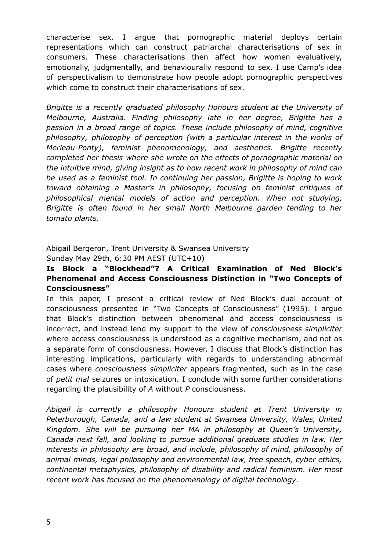characterise sex. I argue that pornographic material deploys certain representations which can construct patriarchal characterisations of sex in consumers. These characterisations then affect how women evaluatively, emotionally, judgmentally, and behaviourally respond to sex. I use Camp's idea of perspectivalism to demonstrate how people adopt pornographic perspectives which come to construct their characterisations of sex.

*Brigitte is a recently graduated philosophy Honours student at the University of Melbourne, Australia. Finding philosophy late in her degree, Brigitte has a passion in a broad range of topics. These include philosophy of mind, cognitive philosophy, philosophy of perception (with a particular interest in the works of Merleau-Ponty), feminist phenomenology, and aesthetics. Brigitte recently completed her thesis where she wrote on the effects of pornographic material on the intuitive mind, giving insight as to how recent work in philosophy of mind can be used as a feminist tool. In continuing her passion, Brigitte is hoping to work toward obtaining a Master's in philosophy, focusing on feminist critiques of philosophical mental models of action and perception. When not studying, Brigitte is often found in her small North Melbourne garden tending to her tomato plants.*

#### Abigail Bergeron, Trent University & Swansea University Sunday May 29th, 6:30 PM AEST (UTC+10)

### **Is Block a "Blockhead"? A Critical Examination of Ned Block's Phenomenal and Access Consciousness Distinction in "Two Concepts of Consciousness"**

In this paper, I present a critical review of Ned Block's dual account of consciousness presented in "Two Concepts of Consciousness" (1995). I argue that Block's distinction between phenomenal and access consciousness is incorrect, and instead lend my support to the view of *consciousness simpliciter* where access consciousness is understood as a cognitive mechanism, and not as a separate form of consciousness. However, I discuss that Block's distinction has interesting implications, particularly with regards to understanding abnormal cases where *consciousness simpliciter* appears fragmented, such as in the case of *petit mal* seizures or intoxication. I conclude with some further considerations regarding the plausibility of *A* without *P* consciousness.

*Abigail is currently a philosophy Honours student at Trent University in Peterborough, Canada, and a law student at Swansea University, Wales, United Kingdom. She will be pursuing her MA in philosophy at Queen's University, Canada next fall, and looking to pursue additional graduate studies in law. Her interests in philosophy are broad, and include, philosophy of mind, philosophy of animal minds, legal philosophy and environmental law, free speech, cyber ethics, continental metaphysics, philosophy of disability and radical feminism. Her most recent work has focused on the phenomenology of digital technology.*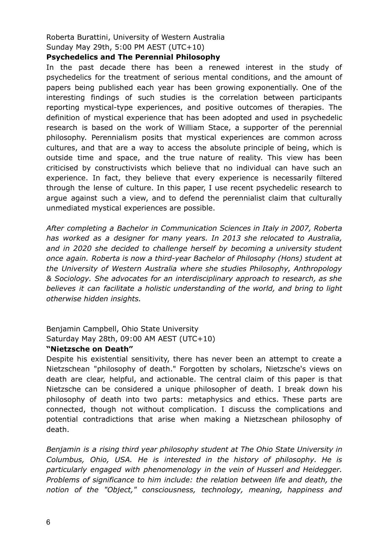# Roberta Burattini, University of Western Australia Sunday May 29th, 5:00 PM AEST (UTC+10)

#### **Psychedelics and The Perennial Philosophy**

In the past decade there has been a renewed interest in the study of psychedelics for the treatment of serious mental conditions, and the amount of papers being published each year has been growing exponentially. One of the interesting findings of such studies is the correlation between participants reporting mystical-type experiences, and positive outcomes of therapies. The definition of mystical experience that has been adopted and used in psychedelic research is based on the work of William Stace, a supporter of the perennial philosophy. Perennialism posits that mystical experiences are common across cultures, and that are a way to access the absolute principle of being, which is outside time and space, and the true nature of reality. This view has been criticised by constructivists which believe that no individual can have such an experience. In fact, they believe that every experience is necessarily filtered through the lense of culture. In this paper, I use recent psychedelic research to argue against such a view, and to defend the perennialist claim that culturally unmediated mystical experiences are possible.

*After completing a Bachelor in Communication Sciences in Italy in 2007, Roberta has worked as a designer for many years. In 2013 she relocated to Australia, and in 2020 she decided to challenge herself by becoming a university student once again. Roberta is now a third-year Bachelor of Philosophy (Hons) student at the University of Western Australia where she studies Philosophy, Anthropology & Sociology. She advocates for an interdisciplinary approach to research, as she believes it can facilitate a holistic understanding of the world, and bring to light otherwise hidden insights.*

# Benjamin Campbell, Ohio State University Saturday May 28th, 09:00 AM AEST (UTC+10)

#### **"Nietzsche on Death"**

Despite his existential sensitivity, there has never been an attempt to create a Nietzschean "philosophy of death." Forgotten by scholars, Nietzsche's views on death are clear, helpful, and actionable. The central claim of this paper is that Nietzsche can be considered a unique philosopher of death. I break down his philosophy of death into two parts: metaphysics and ethics. These parts are connected, though not without complication. I discuss the complications and potential contradictions that arise when making a Nietzschean philosophy of death.

*Benjamin is a rising third year philosophy student at The Ohio State University in Columbus, Ohio, USA. He is interested in the history of philosophy. He is particularly engaged with phenomenology in the vein of Husserl and Heidegger. Problems of significance to him include: the relation between life and death, the notion of the "Object," consciousness, technology, meaning, happiness and*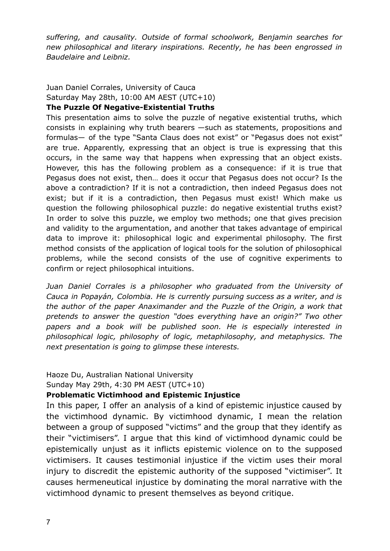*suffering, and causality. Outside of formal schoolwork, Benjamin searches for new philosophical and literary inspirations. Recently, he has been engrossed in Baudelaire and Leibniz.*

# Juan Daniel Corrales, University of Cauca Saturday May 28th, 10:00 AM AEST (UTC+10)

# **The Puzzle Of Negative-Existential Truths**

This presentation aims to solve the puzzle of negative existential truths, which consists in explaining why truth bearers —such as statements, propositions and formulas— of the type "Santa Claus does not exist" or "Pegasus does not exist" are true. Apparently, expressing that an object is true is expressing that this occurs, in the same way that happens when expressing that an object exists. However, this has the following problem as a consequence: if it is true that Pegasus does not exist, then… does it occur that Pegasus does not occur? Is the above a contradiction? If it is not a contradiction, then indeed Pegasus does not exist; but if it is a contradiction, then Pegasus must exist! Which make us question the following philosophical puzzle: do negative existential truths exist? In order to solve this puzzle, we employ two methods; one that gives precision and validity to the argumentation, and another that takes advantage of empirical data to improve it: philosophical logic and experimental philosophy. The first method consists of the application of logical tools for the solution of philosophical problems, while the second consists of the use of cognitive experiments to confirm or reject philosophical intuitions.

*Juan Daniel Corrales is a philosopher who graduated from the University of Cauca in Popayán, Colombia. He is currently pursuing success as a writer, and is the author of the paper Anaximander and the Puzzle of the Origin, a work that pretends to answer the question "does everything have an origin?" Two other papers and a book will be published soon. He is especially interested in philosophical logic, philosophy of logic, metaphilosophy, and metaphysics. The next presentation is going to glimpse these interests.*

Haoze Du, Australian National University

Sunday May 29th, 4:30 PM AEST (UTC+10)

### **Problematic Victimhood and Epistemic Injustice**

In this paper, I offer an analysis of a kind of epistemic injustice caused by the victimhood dynamic. By victimhood dynamic, I mean the relation between a group of supposed "victims" and the group that they identify as their "victimisers". I argue that this kind of victimhood dynamic could be epistemically unjust as it inflicts epistemic violence on to the supposed victimisers. It causes testimonial injustice if the victim uses their moral injury to discredit the epistemic authority of the supposed "victimiser". It causes hermeneutical injustice by dominating the moral narrative with the victimhood dynamic to present themselves as beyond critique.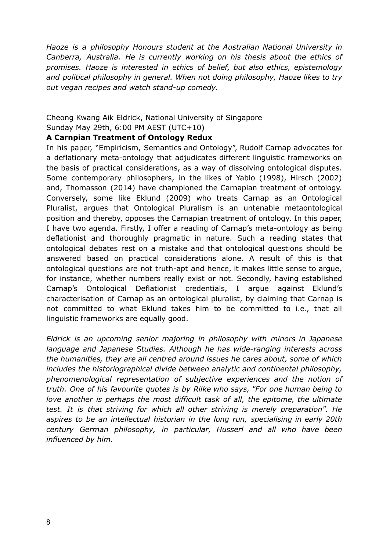*Haoze is a philosophy Honours student at the Australian National University in Canberra, Australia. He is currently working on his thesis about the ethics of promises. Haoze is interested in ethics of belief, but also ethics, epistemology and political philosophy in general. When not doing philosophy, Haoze likes to try out vegan recipes and watch stand-up comedy.*

#### Cheong Kwang Aik Eldrick, National University of Singapore Sunday May 29th, 6:00 PM AEST (UTC+10)

#### **A Carnpian Treatment of Ontology Redux**

In his paper, "Empiricism, Semantics and Ontology", Rudolf Carnap advocates for a deflationary meta-ontology that adjudicates different linguistic frameworks on the basis of practical considerations, as a way of dissolving ontological disputes. Some contemporary philosophers, in the likes of Yablo (1998), Hirsch (2002) and, Thomasson (2014) have championed the Carnapian treatment of ontology. Conversely, some like Eklund (2009) who treats Carnap as an Ontological Pluralist, argues that Ontological Pluralism is an untenable metaontological position and thereby, opposes the Carnapian treatment of ontology. In this paper, I have two agenda. Firstly, I offer a reading of Carnap's meta-ontology as being deflationist and thoroughly pragmatic in nature. Such a reading states that ontological debates rest on a mistake and that ontological questions should be answered based on practical considerations alone. A result of this is that ontological questions are not truth-apt and hence, it makes little sense to argue, for instance, whether numbers really exist or not. Secondly, having established Carnap's Ontological Deflationist credentials, I argue against Eklund's characterisation of Carnap as an ontological pluralist, by claiming that Carnap is not committed to what Eklund takes him to be committed to i.e., that all linguistic frameworks are equally good.

*Eldrick is an upcoming senior majoring in philosophy with minors in Japanese language and Japanese Studies. Although he has wide-ranging interests across the humanities, they are all centred around issues he cares about, some of which includes the historiographical divide between analytic and continental philosophy, phenomenological representation of subjective experiences and the notion of truth. One of his favourite quotes is by Rilke who says, "For one human being to love another is perhaps the most difficult task of all, the epitome, the ultimate test. It is that striving for which all other striving is merely preparation". He aspires to be an intellectual historian in the long run, specialising in early 20th century German philosophy, in particular, Husserl and all who have been influenced by him.*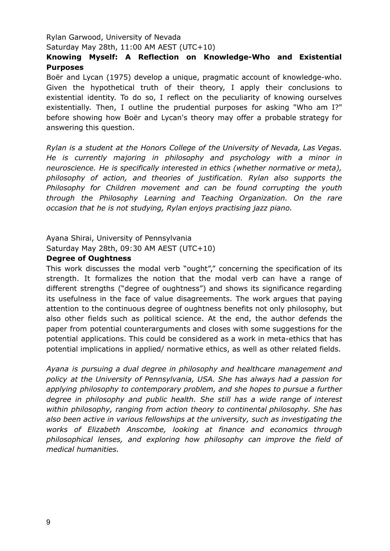## Rylan Garwood, University of Nevada Saturday May 28th, 11:00 AM AEST (UTC+10)

## **Knowing Myself: A Reflection on Knowledge-Who and Existential Purposes**

Boër and Lycan (1975) develop a unique, pragmatic account of knowledge-who. Given the hypothetical truth of their theory, I apply their conclusions to existential identity. To do so, I reflect on the peculiarity of knowing ourselves existentially. Then, I outline the prudential purposes for asking "Who am I?" before showing how Boër and Lycan's theory may offer a probable strategy for answering this question.

*Rylan is a student at the Honors College of the University of Nevada, Las Vegas. He is currently majoring in philosophy and psychology with a minor in neuroscience. He is specifically interested in ethics (whether normative or meta), philosophy of action, and theories of justification. Rylan also supports the Philosophy for Children movement and can be found corrupting the youth through the Philosophy Learning and Teaching Organization. On the rare occasion that he is not studying, Rylan enjoys practising jazz piano.*

### Ayana Shirai, University of Pennsylvania Saturday May 28th, 09:30 AM AEST (UTC+10)

#### **Degree of Oughtness**

This work discusses the modal verb "ought"," concerning the specification of its strength. It formalizes the notion that the modal verb can have a range of different strengths ("degree of oughtness") and shows its significance regarding its usefulness in the face of value disagreements. The work argues that paying attention to the continuous degree of oughtness benefits not only philosophy, but also other fields such as political science. At the end, the author defends the paper from potential counterarguments and closes with some suggestions for the potential applications. This could be considered as a work in meta-ethics that has potential implications in applied/ normative ethics, as well as other related fields.

*Ayana is pursuing a dual degree in philosophy and healthcare management and policy at the University of Pennsylvania, USA. She has always had a passion for applying philosophy to contemporary problem, and she hopes to pursue a further degree in philosophy and public health. She still has a wide range of interest within philosophy, ranging from action theory to continental philosophy. She has also been active in various fellowships at the university, such as investigating the works of Elizabeth Anscombe, looking at finance and economics through philosophical lenses, and exploring how philosophy can improve the field of medical humanities.*